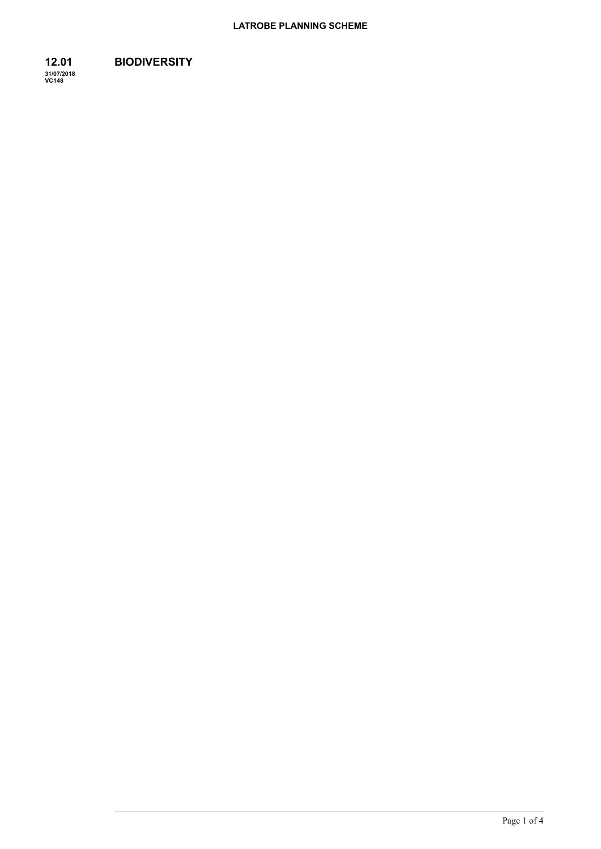Page 1 of 4

#### **12.01 BIODIVERSITY**

**31/07/2018 VC148**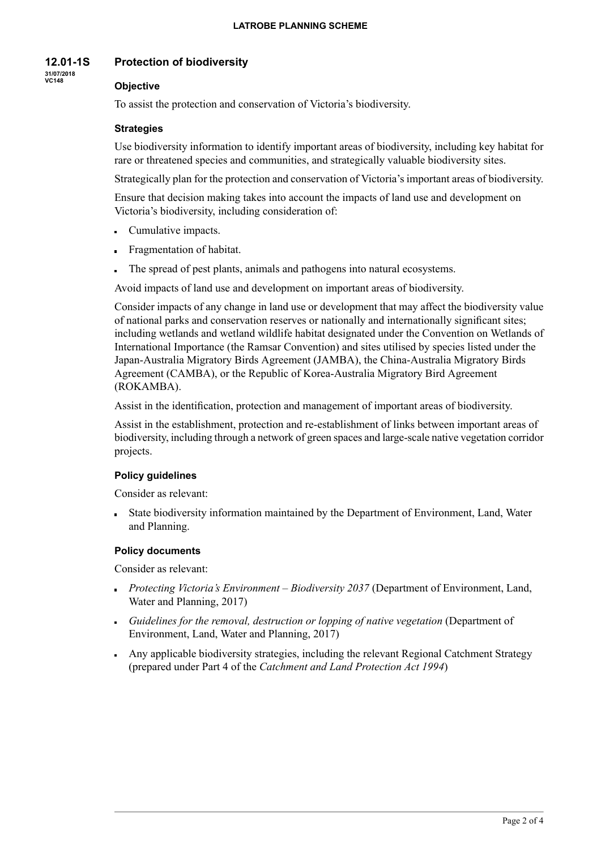#### **12.01-1S Protection of biodiversity**

**31/07/2018 VC148**

# **Objective**

To assist the protection and conservation of Victoria's biodiversity.

### **Strategies**

Use biodiversity information to identify important areas of biodiversity, including key habitat for rare or threatened species and communities, and strategically valuable biodiversity sites.

Strategically plan for the protection and conservation of Victoria's important areas of biodiversity.

Ensure that decision making takes into account the impacts of land use and development on Victoria's biodiversity, including consideration of:

- Cumulative impacts.
- **Fragmentation of habitat.**
- The spread of pest plants, animals and pathogens into natural ecosystems.

Avoid impacts of land use and development on important areas of biodiversity.

Consider impacts of any change in land use or development that may affect the biodiversity value of national parks and conservation reserves or nationally and internationally significant sites; including wetlands and wetland wildlife habitat designated under the Convention on Wetlands of International Importance (the Ramsar Convention) and sites utilised by species listed under the Japan-Australia Migratory Birds Agreement (JAMBA), the China-Australia Migratory Birds Agreement (CAMBA), or the Republic of Korea-Australia Migratory Bird Agreement (ROKAMBA).

Assist in the identification, protection and management of important areas of biodiversity.

Assist in the establishment, protection and re-establishment of links between important areas of biodiversity, including through a network of green spaces and large-scale native vegetation corridor projects.

### **Policy guidelines**

Consider as relevant:

State biodiversity information maintained by the Department of Environment, Land, Water and Planning.

### **Policy documents**

Consider as relevant:

- *Protecting Victoria's Environment – Biodiversity 2037* (Department of Environment, Land, Water and Planning, 2017)
- *Guidelines for the removal, destruction or lopping of native vegetation* (Department of Environment, Land, Water and Planning, 2017)
- Any applicable biodiversity strategies, including the relevant Regional Catchment Strategy (prepared under Part 4 of the *Catchment and Land Protection Act 1994*)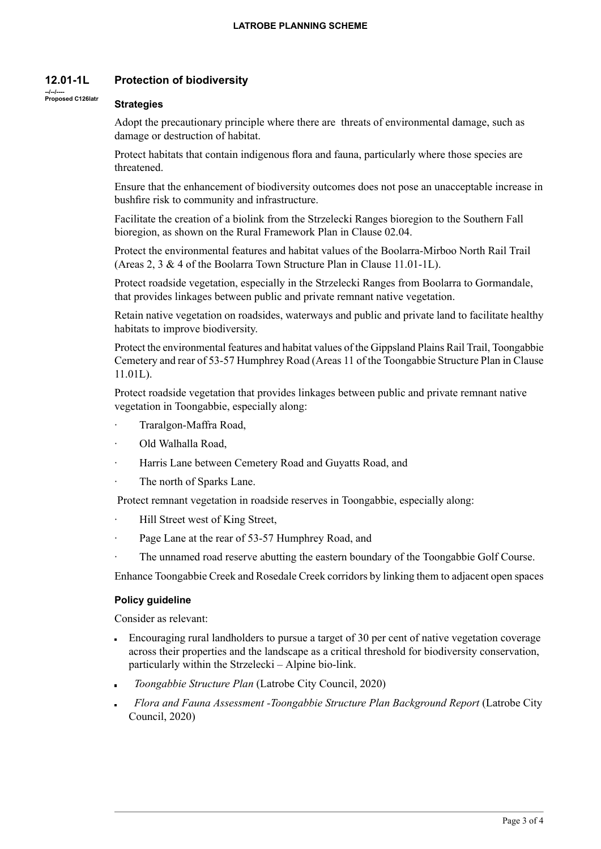#### **12.01-1L Protection of biodiversity**

#### **Strategies**

**--/--/---- Proposed C126latr**

Adopt the precautionary principle where there are threats of environmental damage, such as damage or destruction of habitat.

Protect habitats that contain indigenous flora and fauna, particularly where those species are threatened.

Ensure that the enhancement of biodiversity outcomes does not pose an unacceptable increase in bushfire risk to community and infrastructure.

Facilitate the creation of a biolink from the Strzelecki Ranges bioregion to the Southern Fall bioregion, as shown on the Rural Framework Plan in Clause 02.04.

Protect the environmental features and habitat values of the Boolarra-Mirboo North Rail Trail (Areas 2, 3 & 4 of the Boolarra Town Structure Plan in Clause 11.01-1L).

Protect roadside vegetation, especially in the Strzelecki Ranges from Boolarra to Gormandale, that provides linkages between public and private remnant native vegetation.

Retain native vegetation on roadsides, waterways and public and private land to facilitate healthy habitats to improve biodiversity.

Protect the environmental features and habitat values of the Gippsland Plains Rail Trail, Toongabbie Cemetery and rear of 53-57 Humphrey Road (Areas 11 of the Toongabbie Structure Plan in Clause 11.01L).

Protect roadside vegetation that provides linkages between public and private remnant native vegetation in Toongabbie, especially along:

- · Traralgon-Maffra Road,
- · Old Walhalla Road,
- Harris Lane between Cemetery Road and Guyatts Road, and
- The north of Sparks Lane.

Protect remnant vegetation in roadside reserves in Toongabbie, especially along:

- · Hill Street west of King Street,
- Page Lane at the rear of 53-57 Humphrey Road, and
- The unnamed road reserve abutting the eastern boundary of the Toongabbie Golf Course.

Enhance Toongabbie Creek and Rosedale Creek corridors by linking them to adjacent open spaces

#### **Policy guideline**

Consider as relevant:

- Encouraging rural landholders to pursue a target of 30 per cent of native vegetation coverage across their properties and the landscape as a critical threshold for biodiversity conservation, particularly within the Strzelecki – Alpine bio-link.
- *Toongabbie Structure Plan* (Latrobe City Council, 2020)
- *Flora and Fauna Assessment -Toongabbie Structure Plan Background Report* (Latrobe City Council, 2020)